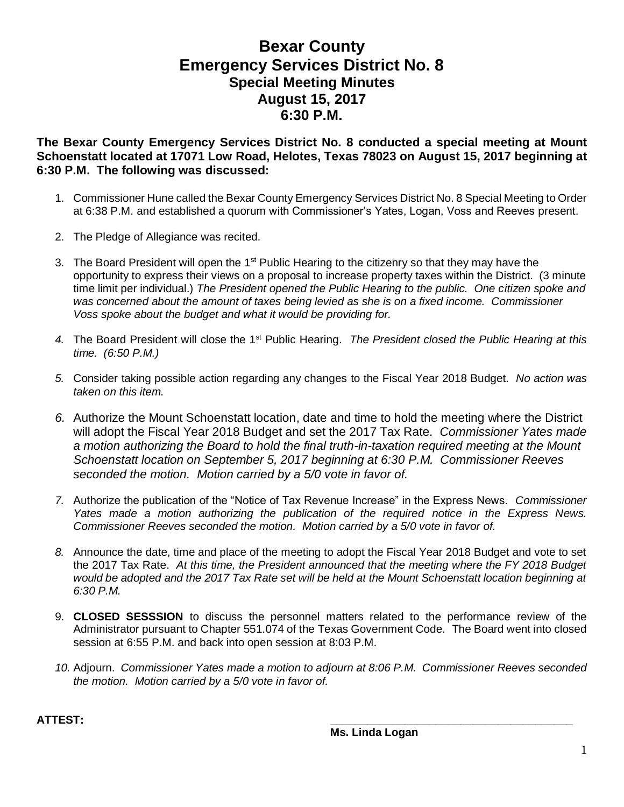## **Bexar County Emergency Services District No. 8 Special Meeting Minutes August 15, 2017 6:30 P.M.**

**The Bexar County Emergency Services District No. 8 conducted a special meeting at Mount Schoenstatt located at 17071 Low Road, Helotes, Texas 78023 on August 15, 2017 beginning at 6:30 P.M. The following was discussed:**

- 1. Commissioner Hune called the Bexar County Emergency Services District No. 8 Special Meeting to Order at 6:38 P.M. and established a quorum with Commissioner's Yates, Logan, Voss and Reeves present.
- 2. The Pledge of Allegiance was recited.
- 3. The Board President will open the  $1<sup>st</sup>$  Public Hearing to the citizenry so that they may have the opportunity to express their views on a proposal to increase property taxes within the District. (3 minute time limit per individual.) *The President opened the Public Hearing to the public. One citizen spoke and*  was concerned about the amount of taxes being levied as she is on a fixed income. Commissioner *Voss spoke about the budget and what it would be providing for.*
- *4.* The Board President will close the 1st Public Hearing. *The President closed the Public Hearing at this time. (6:50 P.M.)*
- *5.* Consider taking possible action regarding any changes to the Fiscal Year 2018 Budget. *No action was taken on this item.*
- *6.* Authorize the Mount Schoenstatt location, date and time to hold the meeting where the District will adopt the Fiscal Year 2018 Budget and set the 2017 Tax Rate*. Commissioner Yates made a motion authorizing the Board to hold the final truth-in-taxation required meeting at the Mount Schoenstatt location on September 5, 2017 beginning at 6:30 P.M. Commissioner Reeves seconded the motion. Motion carried by a 5/0 vote in favor of.*
- *7.* Authorize the publication of the "Notice of Tax Revenue Increase" in the Express News. *Commissioner Yates made a motion authorizing the publication of the required notice in the Express News. Commissioner Reeves seconded the motion. Motion carried by a 5/0 vote in favor of.*
- *8.* Announce the date, time and place of the meeting to adopt the Fiscal Year 2018 Budget and vote to set the 2017 Tax Rate. *At this time, the President announced that the meeting where the FY 2018 Budget would be adopted and the 2017 Tax Rate set will be held at the Mount Schoenstatt location beginning at 6:30 P.M.*
- 9. **CLOSED SESSSION** to discuss the personnel matters related to the performance review of the Administrator pursuant to Chapter 551.074 of the Texas Government Code. The Board went into closed session at 6:55 P.M. and back into open session at 8:03 P.M.
- *10.* Adjourn. *Commissioner Yates made a motion to adjourn at 8:06 P.M. Commissioner Reeves seconded the motion. Motion carried by a 5/0 vote in favor of.*

**ATTEST: \_\_\_\_\_\_\_\_\_\_\_\_\_\_\_\_\_\_\_\_\_\_\_\_\_\_\_\_\_\_\_\_\_\_\_\_\_\_\_**